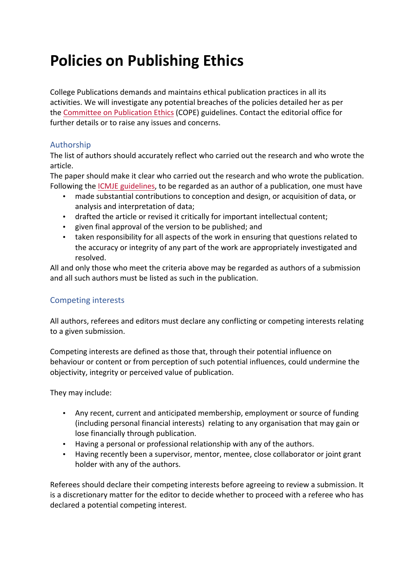# **Policies on Publishing Ethics**

College Publications demands and maintains ethical publication practices in all its activities. We will investigate any potential breaches of the policies detailed her as per the Committee on Publication Ethics (COPE) guidelines. Contact the editorial office for further details or to raise any issues and concerns.

# Authorship

The list of authors should accurately reflect who carried out the research and who wrote the article.

The paper should make it clear who carried out the research and who wrote the publication. Following the ICMJE guidelines, to be regarded as an author of a publication, one must have

- made substantial contributions to conception and design, or acquisition of data, or analysis and interpretation of data;
- drafted the article or revised it critically for important intellectual content;
- given final approval of the version to be published; and
- taken responsibility for all aspects of the work in ensuring that questions related to the accuracy or integrity of any part of the work are appropriately investigated and resolved.

All and only those who meet the criteria above may be regarded as authors of a submission and all such authors must be listed as such in the publication.

# Competing interests

All authors, referees and editors must declare any conflicting or competing interests relating to a given submission.

Competing interests are defined as those that, through their potential influence on behaviour or content or from perception of such potential influences, could undermine the objectivity, integrity or perceived value of publication.

They may include:

- Any recent, current and anticipated membership, employment or source of funding (including personal financial interests) relating to any organisation that may gain or lose financially through publication.
- Having a personal or professional relationship with any of the authors.
- Having recently been a supervisor, mentor, mentee, close collaborator or joint grant holder with any of the authors.

Referees should declare their competing interests before agreeing to review a submission. It is a discretionary matter for the editor to decide whether to proceed with a referee who has declared a potential competing interest.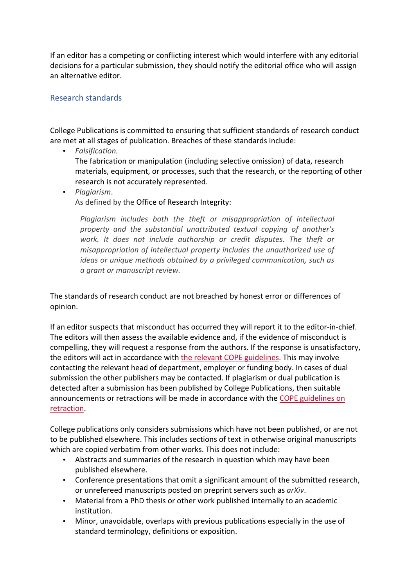If an editor has a competing or conflicting interest which would interfere with any editorial decisions for a particular submission, they should notify the editorial office who will assign an alternative editor.

### Research standards

College Publications is committed to ensuring that sufficient standards of research conduct are met at all stages of publication. Breaches of these standards include:

• *Falsification.*

The fabrication or manipulation (including selective omission) of data, research materials, equipment, or processes, such that the research, or the reporting of other research is not accurately represented.

• *Plagiarism*.

As defined by the Office of Research Integrity:

*Plagiarism includes both the theft or misappropriation of intellectual* property and the substantial unattributed textual copying of another's work. It does not include authorship or credit disputes. The theft or *misappropriation of intellectual property includes the unauthorized use of ideas* or unique methods obtained by a privileged communication, such as *a grant or manuscript review.*

The standards of research conduct are not breached by honest error or differences of opinion.

If an editor suspects that misconduct has occurred they will report it to the editor-in-chief. The editors will then assess the available evidence and, if the evidence of misconduct is compelling, they will request a response from the authors. If the response is unsatisfactory, the editors will act in accordance with the relevant COPE guidelines. This may involve contacting the relevant head of department, employer or funding body. In cases of dual submission the other publishers may be contacted. If plagiarism or dual publication is detected after a submission has been published by College Publications, then suitable announcements or retractions will be made in accordance with the COPE guidelines on retraction.

College publications only considers submissions which have not been published, or are not to be published elsewhere. This includes sections of text in otherwise original manuscripts which are copied verbatim from other works. This does not include:

- Abstracts and summaries of the research in question which may have been published elsewhere.
- Conference presentations that omit a significant amount of the submitted research, or unrefereed manuscripts posted on preprint servers such as *arXiv*.
- Material from a PhD thesis or other work published internally to an academic institution.
- Minor, unavoidable, overlaps with previous publications especially in the use of standard terminology, definitions or exposition.